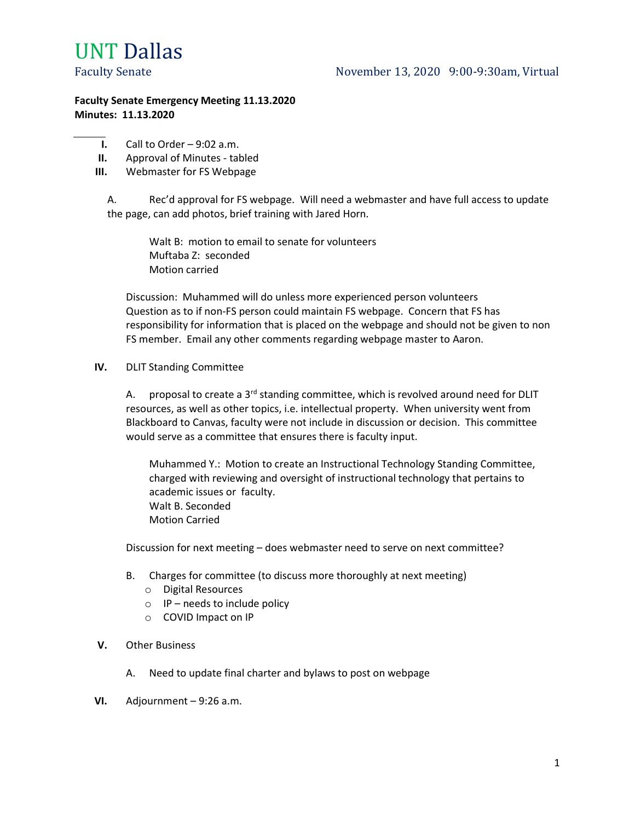

## Faculty Senate Emergency Meeting 11.13.2020 Minutes: 11.13.2020

- $\blacksquare$  Call to Order 9:02 a.m.
- II. Approval of Minutes tabled
- III. Webmaster for FS Webpage

A. Rec'd approval for FS webpage. Will need a webmaster and have full access to update the page, can add photos, brief training with Jared Horn.

 Walt B: motion to email to senate for volunteers Muftaba Z: seconded Motion carried

Discussion: Muhammed will do unless more experienced person volunteers Question as to if non-FS person could maintain FS webpage. Concern that FS has responsibility for information that is placed on the webpage and should not be given to non FS member. Email any other comments regarding webpage master to Aaron.

## IV. DLIT Standing Committee

A. proposal to create a  $3<sup>rd</sup>$  standing committee, which is revolved around need for DLIT resources, as well as other topics, i.e. intellectual property. When university went from Blackboard to Canvas, faculty were not include in discussion or decision. This committee would serve as a committee that ensures there is faculty input.

Muhammed Y.: Motion to create an Instructional Technology Standing Committee, charged with reviewing and oversight of instructional technology that pertains to academic issues or faculty. Walt B. Seconded Motion Carried

Discussion for next meeting – does webmaster need to serve on next committee?

- B. Charges for committee (to discuss more thoroughly at next meeting)
	- o Digital Resources
	- $\circ$  IP needs to include policy
	- o COVID Impact on IP
- V. Other Business
	- A. Need to update final charter and bylaws to post on webpage
- VI. Adjournment 9:26 a.m.